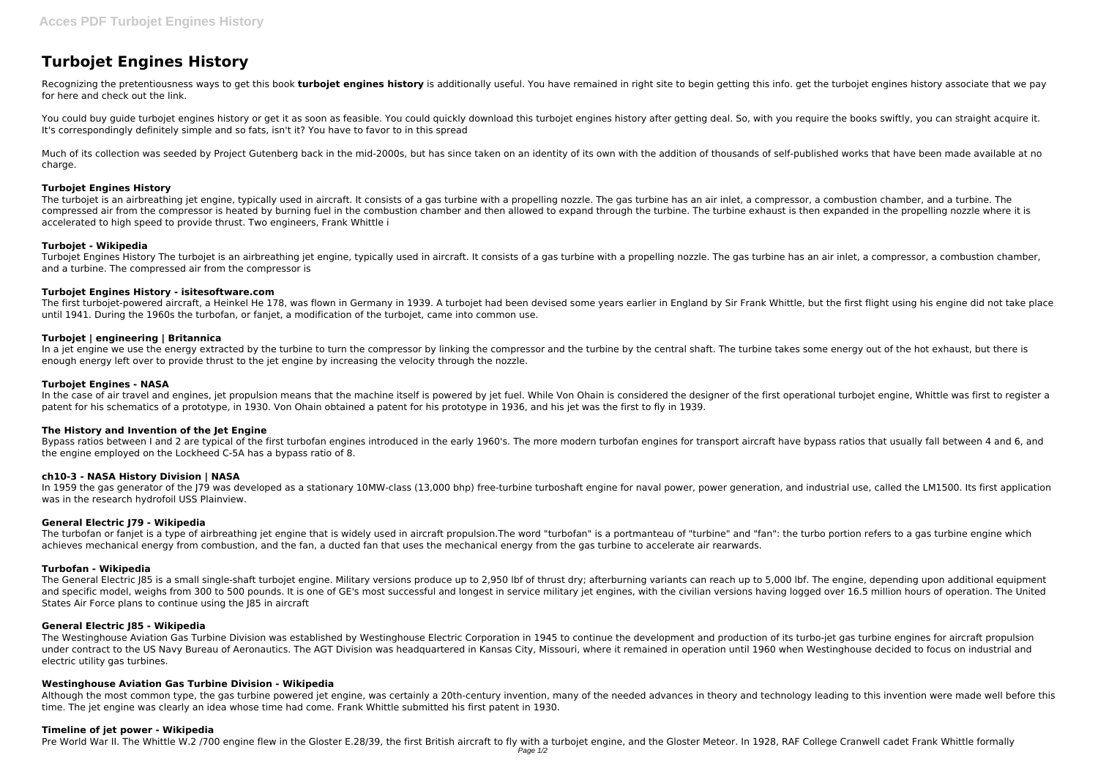# **Turbojet Engines History**

Recognizing the pretentiousness ways to get this book turbojet engines history is additionally useful. You have remained in right site to begin getting this info. get the turbojet engines history associate that we pay for here and check out the link.

You could buy guide turbojet engines history or get it as soon as feasible. You could quickly download this turbojet engines history after getting deal. So, with you require the books swiftly, you can straight acquire it. It's correspondingly definitely simple and so fats, isn't it? You have to favor to in this spread

Much of its collection was seeded by Project Gutenberg back in the mid-2000s, but has since taken on an identity of its own with the addition of thousands of self-published works that have been made available at no charge.

## **Turbojet Engines History**

The turbojet is an airbreathing jet engine, typically used in aircraft. It consists of a gas turbine with a propelling nozzle. The gas turbine has an air inlet, a compressor, a combustion chamber, and a turbine. The compressed air from the compressor is heated by burning fuel in the combustion chamber and then allowed to expand through the turbine. The turbine exhaust is then expanded in the propelling nozzle where it is accelerated to high speed to provide thrust. Two engineers, Frank Whittle i

In a jet engine we use the energy extracted by the turbine to turn the compressor by linking the compressor and the turbine by the central shaft. The turbine takes some energy out of the hot exhaust, but there is enough energy left over to provide thrust to the jet engine by increasing the velocity through the nozzle.

#### **Turbojet - Wikipedia**

In the case of air travel and engines, jet propulsion means that the machine itself is powered by jet fuel. While Von Ohain is considered the designer of the first operational turbojet engine, Whittle was first to register patent for his schematics of a prototype, in 1930. Von Ohain obtained a patent for his prototype in 1936, and his jet was the first to fly in 1939.

Turbojet Engines History The turbojet is an airbreathing jet engine, typically used in aircraft. It consists of a gas turbine with a propelling nozzle. The gas turbine has an air inlet, a compressor, a combustion chamber, and a turbine. The compressed air from the compressor is

Bypass ratios between I and 2 are typical of the first turbofan engines introduced in the early 1960's. The more modern turbofan engines for transport aircraft have bypass ratios that usually fall between 4 and 6, and the engine employed on the Lockheed C-5A has a bypass ratio of 8.

#### **Turbojet Engines History - isitesoftware.com**

In 1959 the gas generator of the J79 was developed as a stationary 10MW-class (13,000 bhp) free-turbine turboshaft engine for naval power, power generation, and industrial use, called the LM1500. Its first application was in the research hydrofoil USS Plainview.

The first turbojet-powered aircraft, a Heinkel He 178, was flown in Germany in 1939. A turbojet had been devised some years earlier in England by Sir Frank Whittle, but the first flight using his engine did not take place until 1941. During the 1960s the turbofan, or fanjet, a modification of the turbojet, came into common use.

The turbofan or fanjet is a type of airbreathing jet engine that is widely used in aircraft propulsion. The word "turbofan" is a portmanteau of "turbine" and "fan": the turbo portion refers to a gas turbine engine which achieves mechanical energy from combustion, and the fan, a ducted fan that uses the mechanical energy from the gas turbine to accelerate air rearwards.

## **Turbojet | engineering | Britannica**

The General Electric J85 is a small single-shaft turbojet engine. Military versions produce up to 2,950 lbf of thrust dry; afterburning variants can reach up to 5,000 lbf. The engine, depending upon additional equipment and specific model, weighs from 300 to 500 pounds. It is one of GE's most successful and longest in service military jet engines, with the civilian versions having logged over 16.5 million hours of operation. The United States Air Force plans to continue using the J85 in aircraft

## **Turbojet Engines - NASA**

The Westinghouse Aviation Gas Turbine Division was established by Westinghouse Electric Corporation in 1945 to continue the development and production of its turbo-jet gas turbine engines for aircraft propulsion under contract to the US Navy Bureau of Aeronautics. The AGT Division was headquartered in Kansas City, Missouri, where it remained in operation until 1960 when Westinghouse decided to focus on industrial and electric utility gas turbines.

## **The History and Invention of the Jet Engine**

## **ch10-3 - NASA History Division | NASA**

## **General Electric J79 - Wikipedia**

## **Turbofan - Wikipedia**

#### **General Electric J85 - Wikipedia**

## **Westinghouse Aviation Gas Turbine Division - Wikipedia**

Although the most common type, the gas turbine powered jet engine, was certainly a 20th-century invention, many of the needed advances in theory and technology leading to this invention were made well before this time. The jet engine was clearly an idea whose time had come. Frank Whittle submitted his first patent in 1930.

#### **Timeline of jet power - Wikipedia**

Pre World War II. The Whittle W.2 /700 engine flew in the Gloster E.28/39, the first British aircraft to fly with a turbojet engine, and the Gloster Meteor. In 1928, RAF College Cranwell cadet Frank Whittle formally